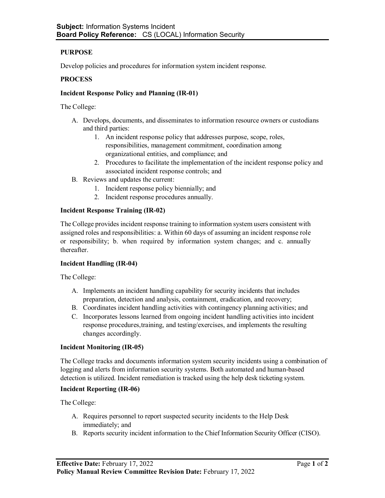# **PURPOSE**

Develop policies and procedures for information system incident response.

## **PROCESS**

### **Incident Response Policy and Planning (IR-01)**

The College:

- A. Develops, documents, and disseminates to information resource owners or custodians and third parties:
	- 1. An incident response policy that addresses purpose, scope, roles, responsibilities, management commitment, coordination among organizational entities, and compliance; and
	- 2. Procedures to facilitate the implementation of the incident response policy and associated incident response controls; and
- B. Reviews and updates the current:
	- 1. Incident response policy biennially; and
	- 2. Incident response procedures annually.

#### **Incident Response Training (IR-02)**

The College provides incident response training to information system users consistent with assigned roles and responsibilities: a. Within 60 days of assuming an incident response role or responsibility; b. when required by information system changes; and c. annually thereafter.

#### **Incident Handling (IR-04)**

The College:

- A. Implements an incident handling capability for security incidents that includes preparation, detection and analysis, containment, eradication, and recovery;
- B. Coordinates incident handling activities with contingency planning activities; and
- C. Incorporates lessons learned from ongoing incident handling activities into incident response procedures,training, and testing/exercises, and implements the resulting changes accordingly.

#### **Incident Monitoring (IR-05)**

The College tracks and documents information system security incidents using a combination of logging and alerts from information security systems. Both automated and human-based detection is utilized. Incident remediation is tracked using the help desk ticketing system.

#### **Incident Reporting (IR-06)**

The College:

- A. Requires personnel to report suspected security incidents to the Help Desk immediately; and
- B. Reports security incident information to the Chief Information Security Officer (CISO).